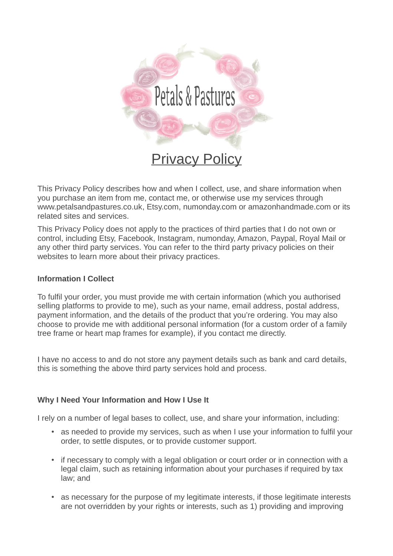

This Privacy Policy describes how and when I collect, use, and share information when you purchase an item from me, contact me, or otherwise use my services through www.petalsandpastures.co.uk, Etsy.com, numonday.com or amazonhandmade.com or its related sites and services.

This Privacy Policy does not apply to the practices of third parties that I do not own or control, including Etsy, Facebook, Instagram, numonday, Amazon, Paypal, Royal Mail or any other third party services. You can refer to the third party privacy policies on their websites to learn more about their privacy practices.

#### **Information I Collect**

To fulfil your order, you must provide me with certain information (which you authorised selling platforms to provide to me), such as your name, email address, postal address, payment information, and the details of the product that you're ordering. You may also choose to provide me with additional personal information (for a custom order of a family tree frame or heart map frames for example), if you contact me directly.

I have no access to and do not store any payment details such as bank and card details, this is something the above third party services hold and process.

#### **Why I Need Your Information and How I Use It**

I rely on a number of legal bases to collect, use, and share your information, including:

- as needed to provide my services, such as when I use your information to fulfil your order, to settle disputes, or to provide customer support.
- if necessary to comply with a legal obligation or court order or in connection with a legal claim, such as retaining information about your purchases if required by tax law; and
- as necessary for the purpose of my legitimate interests, if those legitimate interests are not overridden by your rights or interests, such as 1) providing and improving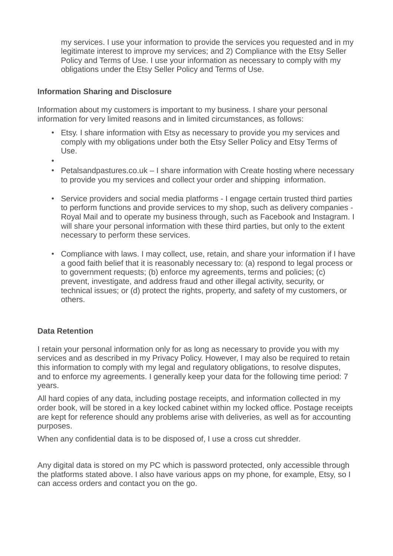my services. I use your information to provide the services you requested and in my legitimate interest to improve my services; and 2) Compliance with the Etsy Seller Policy and Terms of Use. I use your information as necessary to comply with my obligations under the Etsy Seller Policy and Terms of Use.

## **Information Sharing and Disclosure**

Information about my customers is important to my business. I share your personal information for very limited reasons and in limited circumstances, as follows:

- Etsy. I share information with Etsy as necessary to provide you my services and comply with my obligations under both the Etsy Seller Policy and Etsy Terms of Use.
- •
- Petalsandpastures.co.uk I share information with Create hosting where necessary to provide you my services and collect your order and shipping information.
- Service providers and social media platforms I engage certain trusted third parties to perform functions and provide services to my shop, such as delivery companies - Royal Mail and to operate my business through, such as Facebook and Instagram. I will share your personal information with these third parties, but only to the extent necessary to perform these services.
- Compliance with laws. I may collect, use, retain, and share your information if I have a good faith belief that it is reasonably necessary to: (a) respond to legal process or to government requests; (b) enforce my agreements, terms and policies; (c) prevent, investigate, and address fraud and other illegal activity, security, or technical issues; or (d) protect the rights, property, and safety of my customers, or others.

#### **Data Retention**

I retain your personal information only for as long as necessary to provide you with my services and as described in my Privacy Policy. However, I may also be required to retain this information to comply with my legal and regulatory obligations, to resolve disputes, and to enforce my agreements. I generally keep your data for the following time period: 7 years.

All hard copies of any data, including postage receipts, and information collected in my order book, will be stored in a key locked cabinet within my locked office. Postage receipts are kept for reference should any problems arise with deliveries, as well as for accounting purposes.

When any confidential data is to be disposed of, I use a cross cut shredder.

Any digital data is stored on my PC which is password protected, only accessible through the platforms stated above. I also have various apps on my phone, for example, Etsy, so I can access orders and contact you on the go.